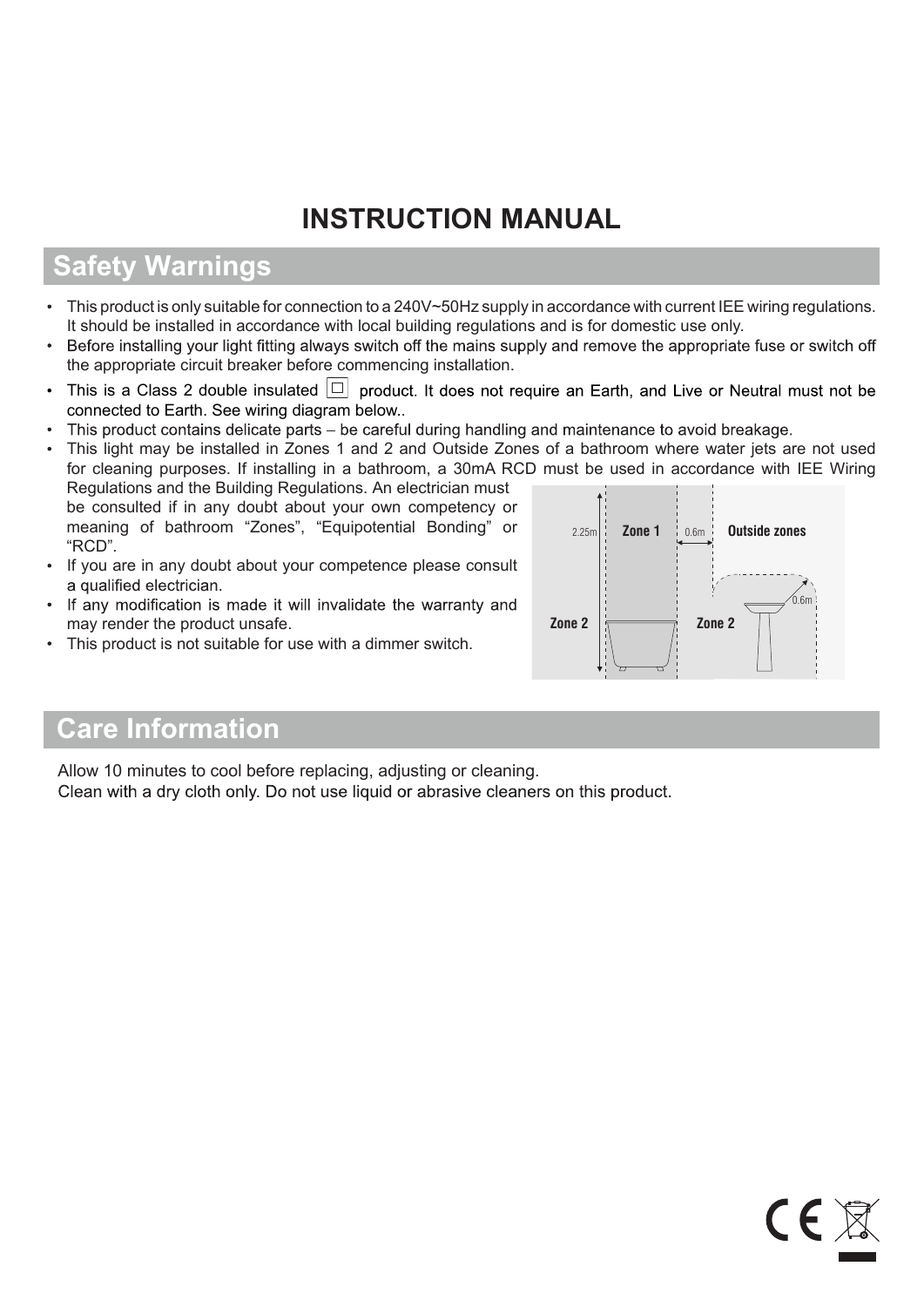# **INSTRUCTION MANUAL**

## **Safety Warnings**

- This product is only suitable for connection to a 240V~50Hz supply in accordance with current IEE wiring regulations.
- It should be installed in accordance with local building regulations and is for domestic use only.<br>Before installing your light fitting always switch off the mains supply and remove the appropriate fuse or switch off the appropriate circuit breaker before commencing installation.
- This is a Class 2 double insulated  $\Box$  product. It does not require an Earth, and Live or Neutral must not be connected to Earth. See wiring diagram below..<br>This product contains delicate parts – be careful during handling and maintenance to avoid breakage.
- 
- **Zone 1** | 0.6m | **Outside zones** 2.25m This light may be installed in Zones 1 and 2 and Outside Zones of a bathroom where water jets are not used for cleaning purposes. If installing in a bathroom, a 30mA RCD must be used in accordance with IEE Wiring Regulations and the Building Regulations. An electrician must be consulted if in any doubt about your own competency or meaning of bathroom "Zones", "Equipotential Bonding" or "RCD".
- If you are in any doubt about your competence please consult a qualified electrician.
- If any modification is made it will invalidate the warranty and may render the product unsafe.
- This product is not suitable for use with a dimmer switch.



 $\epsilon$ 

## **Care Information**

Allow 10 minutes to cool before replacing, adjusting or cleaning. Clean with a dry cloth only. Do not use liquid or abrasive cleaners on this product.